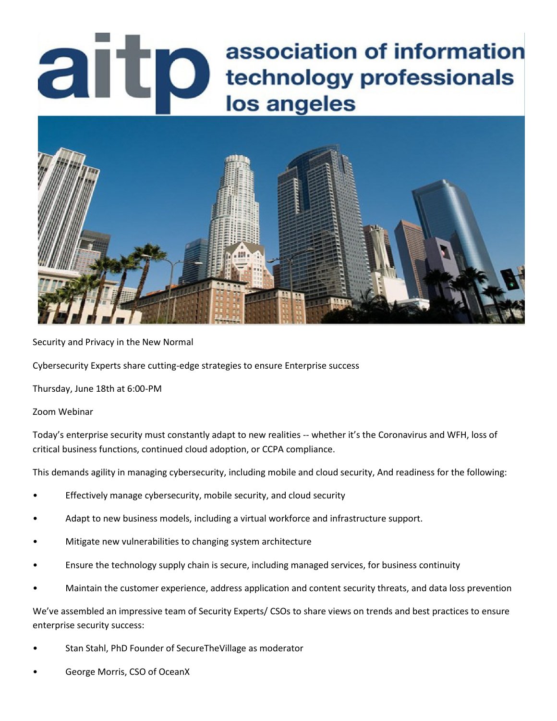# association of information artp technology professionals los angeles



Security and Privacy in the New Normal

Cybersecurity Experts share cutting-edge strategies to ensure Enterprise success

Thursday, June 18th at 6:00-PM

Zoom Webinar

Today's enterprise security must constantly adapt to new realities -- whether it's the Coronavirus and WFH, loss of critical business functions, continued cloud adoption, or CCPA compliance.

This demands agility in managing cybersecurity, including mobile and cloud security, And readiness for the following:

- Effectively manage cybersecurity, mobile security, and cloud security
- Adapt to new business models, including a virtual workforce and infrastructure support.
- Mitigate new vulnerabilities to changing system architecture
- Ensure the technology supply chain is secure, including managed services, for business continuity
- Maintain the customer experience, address application and content security threats, and data loss prevention

We've assembled an impressive team of Security Experts/ CSOs to share views on trends and best practices to ensure enterprise security success:

- Stan Stahl, PhD Founder of SecureTheVillage as moderator
- George Morris, CSO of OceanX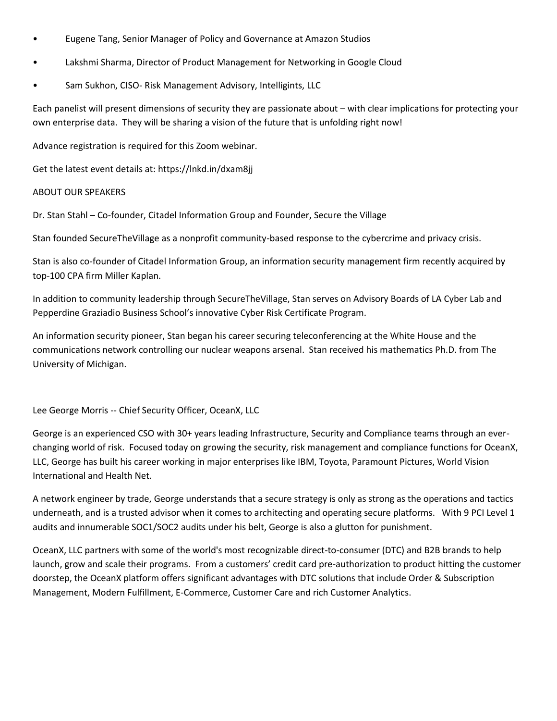- Eugene Tang, Senior Manager of Policy and Governance at Amazon Studios
- Lakshmi Sharma, Director of Product Management for Networking in Google Cloud
- Sam Sukhon, CISO- Risk Management Advisory, Intelligints, LLC

Each panelist will present dimensions of security they are passionate about – with clear implications for protecting your own enterprise data. They will be sharing a vision of the future that is unfolding right now!

Advance registration is required for this Zoom webinar.

Get the latest event details at: https://lnkd.in/dxam8jj

### ABOUT OUR SPEAKERS

Dr. Stan Stahl – Co-founder, Citadel Information Group and Founder, Secure the Village

Stan founded SecureTheVillage as a nonprofit community-based response to the cybercrime and privacy crisis.

Stan is also co-founder of Citadel Information Group, an information security management firm recently acquired by top-100 CPA firm Miller Kaplan.

In addition to community leadership through SecureTheVillage, Stan serves on Advisory Boards of LA Cyber Lab and Pepperdine Graziadio Business School's innovative Cyber Risk Certificate Program.

An information security pioneer, Stan began his career securing teleconferencing at the White House and the communications network controlling our nuclear weapons arsenal. Stan received his mathematics Ph.D. from The University of Michigan.

Lee George Morris -- Chief Security Officer, OceanX, LLC

George is an experienced CSO with 30+ years leading Infrastructure, Security and Compliance teams through an everchanging world of risk. Focused today on growing the security, risk management and compliance functions for OceanX, LLC, George has built his career working in major enterprises like IBM, Toyota, Paramount Pictures, World Vision International and Health Net.

A network engineer by trade, George understands that a secure strategy is only as strong as the operations and tactics underneath, and is a trusted advisor when it comes to architecting and operating secure platforms. With 9 PCI Level 1 audits and innumerable SOC1/SOC2 audits under his belt, George is also a glutton for punishment.

OceanX, LLC partners with some of the world's most recognizable direct-to-consumer (DTC) and B2B brands to help launch, grow and scale their programs. From a customers' credit card pre-authorization to product hitting the customer doorstep, the OceanX platform offers significant advantages with DTC solutions that include Order & Subscription Management, Modern Fulfillment, E-Commerce, Customer Care and rich Customer Analytics.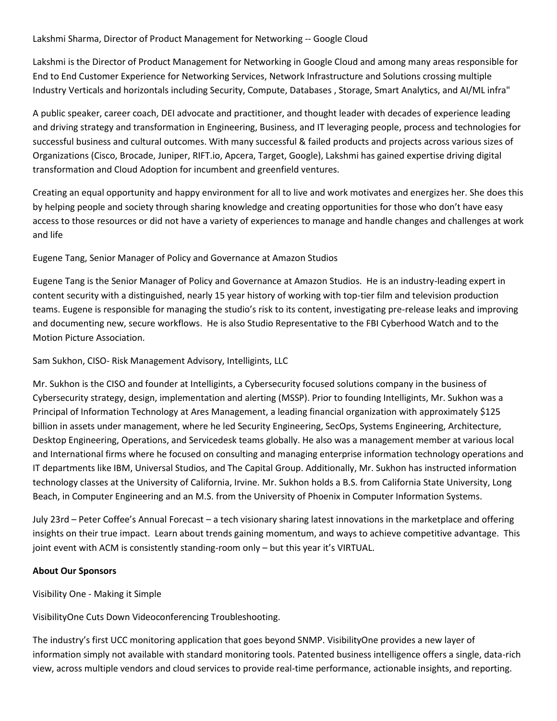## Lakshmi Sharma, Director of Product Management for Networking -- Google Cloud

Lakshmi is the Director of Product Management for Networking in Google Cloud and among many areas responsible for End to End Customer Experience for Networking Services, Network Infrastructure and Solutions crossing multiple Industry Verticals and horizontals including Security, Compute, Databases , Storage, Smart Analytics, and AI/ML infra"

A public speaker, career coach, DEI advocate and practitioner, and thought leader with decades of experience leading and driving strategy and transformation in Engineering, Business, and IT leveraging people, process and technologies for successful business and cultural outcomes. With many successful & failed products and projects across various sizes of Organizations (Cisco, Brocade, Juniper, RIFT.io, Apcera, Target, Google), Lakshmi has gained expertise driving digital transformation and Cloud Adoption for incumbent and greenfield ventures.

Creating an equal opportunity and happy environment for all to live and work motivates and energizes her. She does this by helping people and society through sharing knowledge and creating opportunities for those who don't have easy access to those resources or did not have a variety of experiences to manage and handle changes and challenges at work and life

Eugene Tang, Senior Manager of Policy and Governance at Amazon Studios

Eugene Tang is the Senior Manager of Policy and Governance at Amazon Studios. He is an industry-leading expert in content security with a distinguished, nearly 15 year history of working with top-tier film and television production teams. Eugene is responsible for managing the studio's risk to its content, investigating pre-release leaks and improving and documenting new, secure workflows. He is also Studio Representative to the FBI Cyberhood Watch and to the Motion Picture Association.

Sam Sukhon, CISO- Risk Management Advisory, Intelligints, LLC

Mr. Sukhon is the CISO and founder at Intelligints, a Cybersecurity focused solutions company in the business of Cybersecurity strategy, design, implementation and alerting (MSSP). Prior to founding Intelligints, Mr. Sukhon was a Principal of Information Technology at Ares Management, a leading financial organization with approximately \$125 billion in assets under management, where he led Security Engineering, SecOps, Systems Engineering, Architecture, Desktop Engineering, Operations, and Servicedesk teams globally. He also was a management member at various local and International firms where he focused on consulting and managing enterprise information technology operations and IT departments like IBM, Universal Studios, and The Capital Group. Additionally, Mr. Sukhon has instructed information technology classes at the University of California, Irvine. Mr. Sukhon holds a B.S. from California State University, Long Beach, in Computer Engineering and an M.S. from the University of Phoenix in Computer Information Systems.

July 23rd – Peter Coffee's Annual Forecast – a tech visionary sharing latest innovations in the marketplace and offering insights on their true impact. Learn about trends gaining momentum, and ways to achieve competitive advantage. This joint event with ACM is consistently standing-room only – but this year it's VIRTUAL.

### **About Our Sponsors**

Visibility One - Making it Simple

VisibilityOne Cuts Down Videoconferencing Troubleshooting.

The industry's first UCC monitoring application that goes beyond SNMP. VisibilityOne provides a new layer of information simply not available with standard monitoring tools. Patented business intelligence offers a single, data-rich view, across multiple vendors and cloud services to provide real-time performance, actionable insights, and reporting.